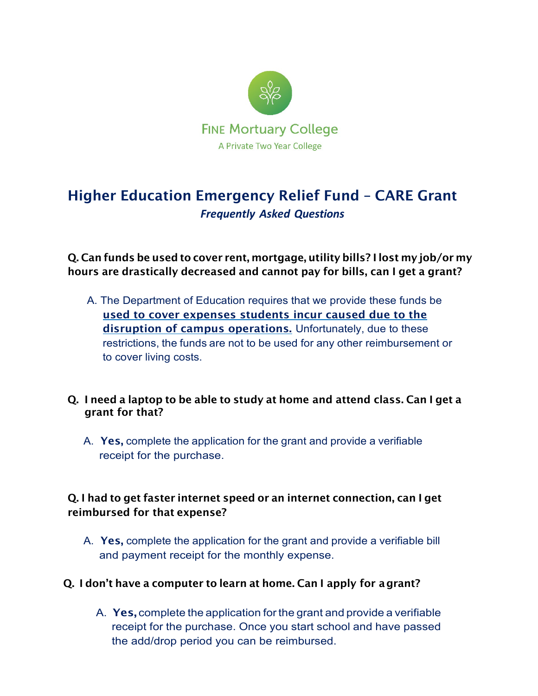

# Higher Education Emergency Relief Fund – CARE Grant *Frequently Asked Questions*

Q. Can funds be used to cover rent, mortgage, utility bills? I lost my job/or my hours are drastically decreased and cannot pay for bills, can I get a grant?

A. The Department of Education requires that we provide these funds be used to cover expenses students incur caused due to the disruption of campus operations. Unfortunately, due to these restrictions, the funds are not to be used for any other reimbursement or to cover living costs.

### Q. I need a laptop to be able to study at home and attend class. Can I get a grant for that?

A. Yes, complete the application for the grant and provide a verifiable receipt for the purchase.

## Q. I had to get faster internet speed or an internet connection, can I get reimbursed for that expense?

A. Yes, complete the application for the grant and provide a verifiable bill and payment receipt for the monthly expense.

### Q. I don't have a computer to learn at home. Can I apply for agrant?

A. Yes, complete the application for the grant and provide a verifiable receipt for the purchase. Once you start school and have passed the add/drop period you can be reimbursed.